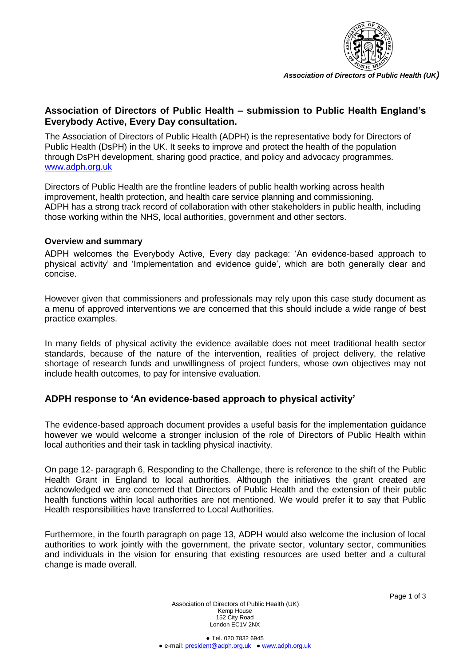

*Association of Directors of Public Health (UK)*

## **Association of Directors of Public Health – submission to Public Health England's Everybody Active, Every Day consultation.**

The Association of Directors of Public Health (ADPH) is the representative body for Directors of Public Health (DsPH) in the UK. It seeks to improve and protect the health of the population through DsPH development, sharing good practice, and policy and advocacy programmes. [www.adph.org.uk](http://www.adph.org.uk/)

Directors of Public Health are the frontline leaders of public health working across health improvement, health protection, and health care service planning and commissioning. ADPH has a strong track record of collaboration with other stakeholders in public health, including those working within the NHS, local authorities, government and other sectors.

## **Overview and summary**

ADPH welcomes the Everybody Active, Every day package: 'An evidence-based approach to physical activity' and 'Implementation and evidence guide', which are both generally clear and concise.

However given that commissioners and professionals may rely upon this case study document as a menu of approved interventions we are concerned that this should include a wide range of best practice examples.

In many fields of physical activity the evidence available does not meet traditional health sector standards, because of the nature of the intervention, realities of project delivery, the relative shortage of research funds and unwillingness of project funders, whose own objectives may not include health outcomes, to pay for intensive evaluation.

## **ADPH response to 'An evidence-based approach to physical activity'**

The evidence-based approach document provides a useful basis for the implementation guidance however we would welcome a stronger inclusion of the role of Directors of Public Health within local authorities and their task in tackling physical inactivity.

On page 12- paragraph 6, Responding to the Challenge, there is reference to the shift of the Public Health Grant in England to local authorities. Although the initiatives the grant created are acknowledged we are concerned that Directors of Public Health and the extension of their public health functions within local authorities are not mentioned. We would prefer it to say that Public Health responsibilities have transferred to Local Authorities.

Furthermore, in the fourth paragraph on page 13, ADPH would also welcome the inclusion of local authorities to work jointly with the government, the private sector, voluntary sector, communities and individuals in the vision for ensuring that existing resources are used better and a cultural change is made overall.

> Association of Directors of Public Health (UK) Kemp House 152 City Road London EC1V 2NX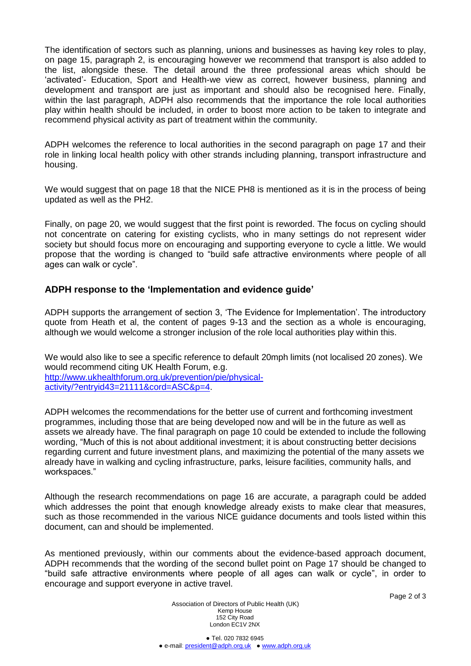The identification of sectors such as planning, unions and businesses as having key roles to play, on page 15, paragraph 2, is encouraging however we recommend that transport is also added to the list, alongside these. The detail around the three professional areas which should be 'activated'- Education, Sport and Health-we view as correct, however business, planning and development and transport are just as important and should also be recognised here. Finally, within the last paragraph, ADPH also recommends that the importance the role local authorities play within health should be included, in order to boost more action to be taken to integrate and recommend physical activity as part of treatment within the community.

ADPH welcomes the reference to local authorities in the second paragraph on page 17 and their role in linking local health policy with other strands including planning, transport infrastructure and housing.

We would suggest that on page 18 that the NICE PH8 is mentioned as it is in the process of being updated as well as the PH2.

Finally, on page 20, we would suggest that the first point is reworded. The focus on cycling should not concentrate on catering for existing cyclists, who in many settings do not represent wider society but should focus more on encouraging and supporting everyone to cycle a little. We would propose that the wording is changed to "build safe attractive environments where people of all ages can walk or cycle".

## **ADPH response to the 'Implementation and evidence guide'**

ADPH supports the arrangement of section 3, 'The Evidence for Implementation'. The introductory quote from Heath et al, the content of pages 9-13 and the section as a whole is encouraging, although we would welcome a stronger inclusion of the role local authorities play within this.

We would also like to see a specific reference to default 20mph limits (not localised 20 zones). We would recommend citing UK Health Forum, e.g. [http://www.ukhealthforum.org.uk/prevention/pie/physical](http://www.ukhealthforum.org.uk/prevention/pie/physical-activity/?entryid43=21111&cord=ASC&p=4)[activity/?entryid43=21111&cord=ASC&p=4.](http://www.ukhealthforum.org.uk/prevention/pie/physical-activity/?entryid43=21111&cord=ASC&p=4)

ADPH welcomes the recommendations for the better use of current and forthcoming investment programmes, including those that are being developed now and will be in the future as well as assets we already have. The final paragraph on page 10 could be extended to include the following wording, "Much of this is not about additional investment; it is about constructing better decisions regarding current and future investment plans, and maximizing the potential of the many assets we already have in walking and cycling infrastructure, parks, leisure facilities, community halls, and workspaces."

Although the research recommendations on page 16 are accurate, a paragraph could be added which addresses the point that enough knowledge already exists to make clear that measures, such as those recommended in the various NICE guidance documents and tools listed within this document, can and should be implemented.

As mentioned previously, within our comments about the evidence-based approach document, ADPH recommends that the wording of the second bullet point on Page 17 should be changed to "build safe attractive environments where people of all ages can walk or cycle", in order to encourage and support everyone in active travel.

Association of Directors of Public Health (UK) Kemp House 152 City Road London EC1V 2NX